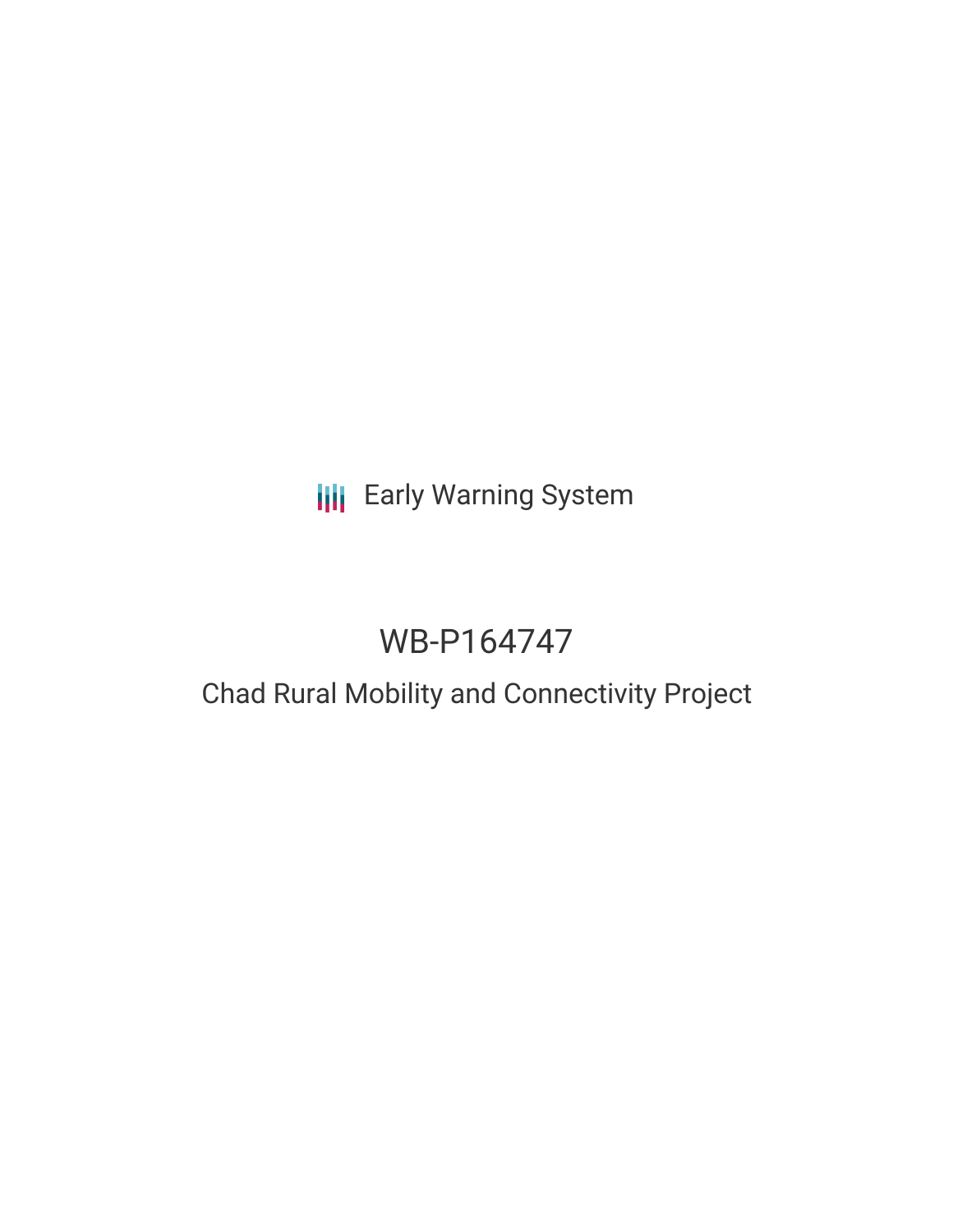# **III** Early Warning System

# WB-P164747

## Chad Rural Mobility and Connectivity Project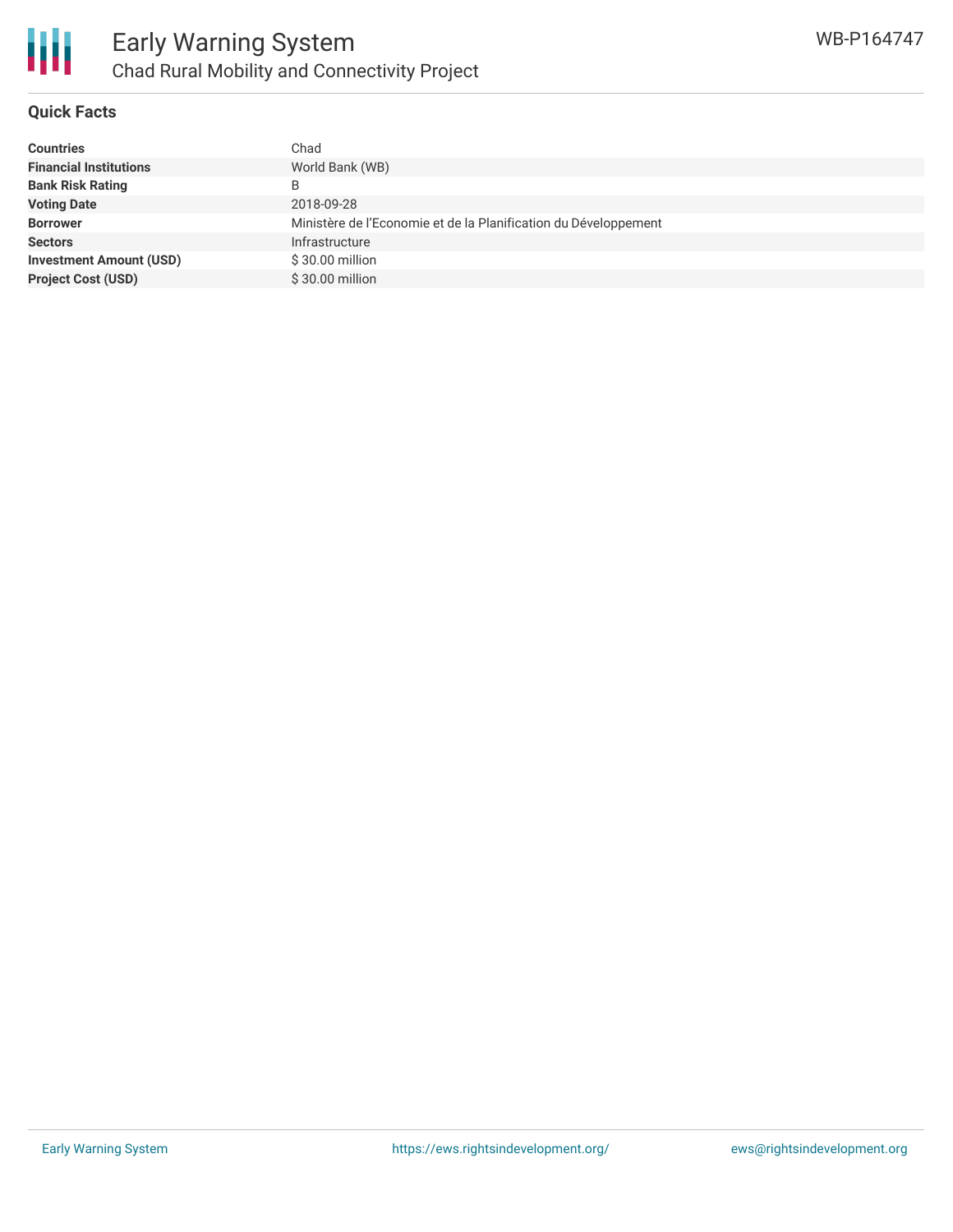

#### **Quick Facts**

| <b>Countries</b>               | Chad                                                            |
|--------------------------------|-----------------------------------------------------------------|
| <b>Financial Institutions</b>  | World Bank (WB)                                                 |
| <b>Bank Risk Rating</b>        | B                                                               |
| <b>Voting Date</b>             | 2018-09-28                                                      |
| <b>Borrower</b>                | Ministère de l'Economie et de la Planification du Développement |
| <b>Sectors</b>                 | Infrastructure                                                  |
| <b>Investment Amount (USD)</b> | \$30.00 million                                                 |
| <b>Project Cost (USD)</b>      | \$30.00 million                                                 |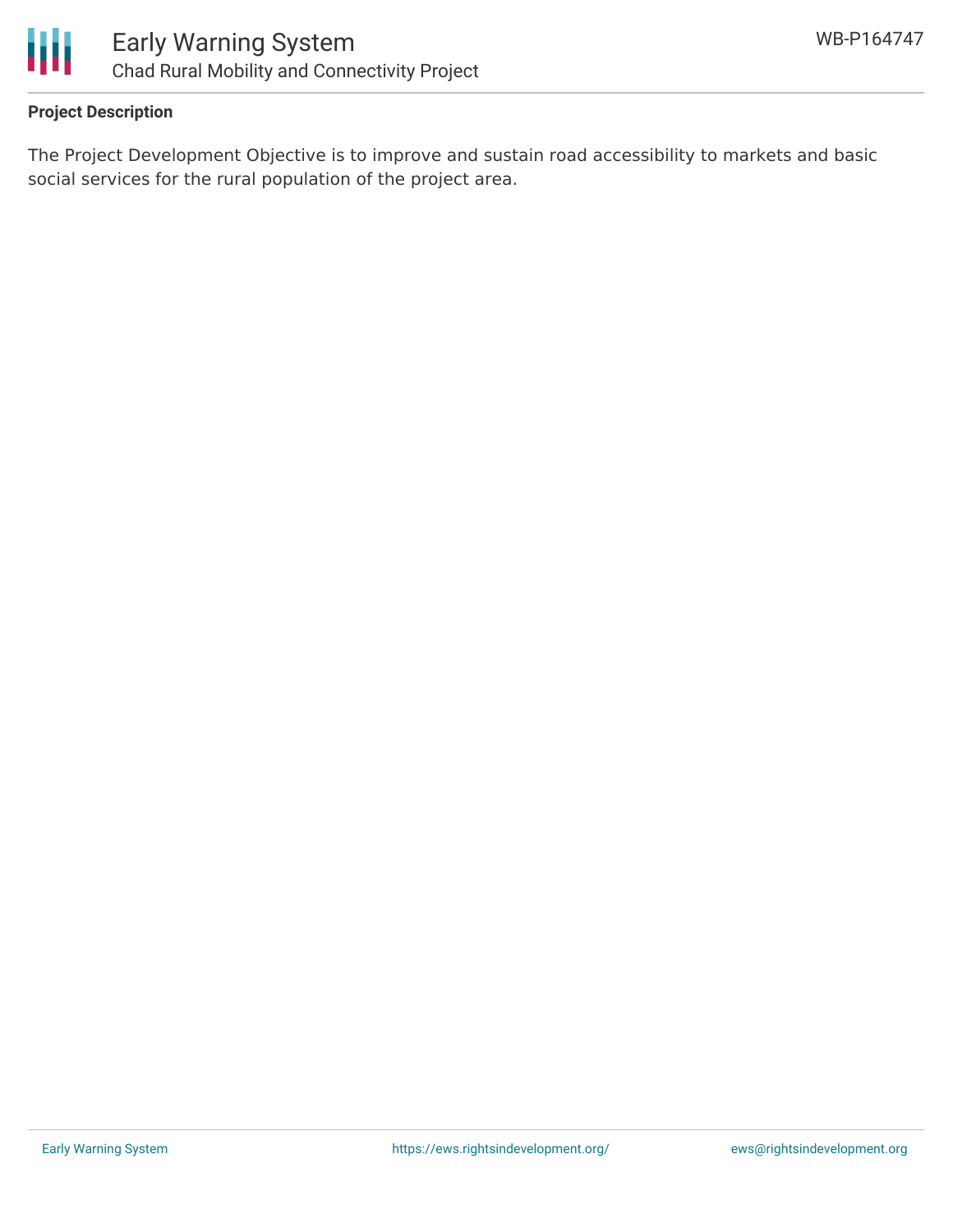

#### **Project Description**

The Project Development Objective is to improve and sustain road accessibility to markets and basic social services for the rural population of the project area.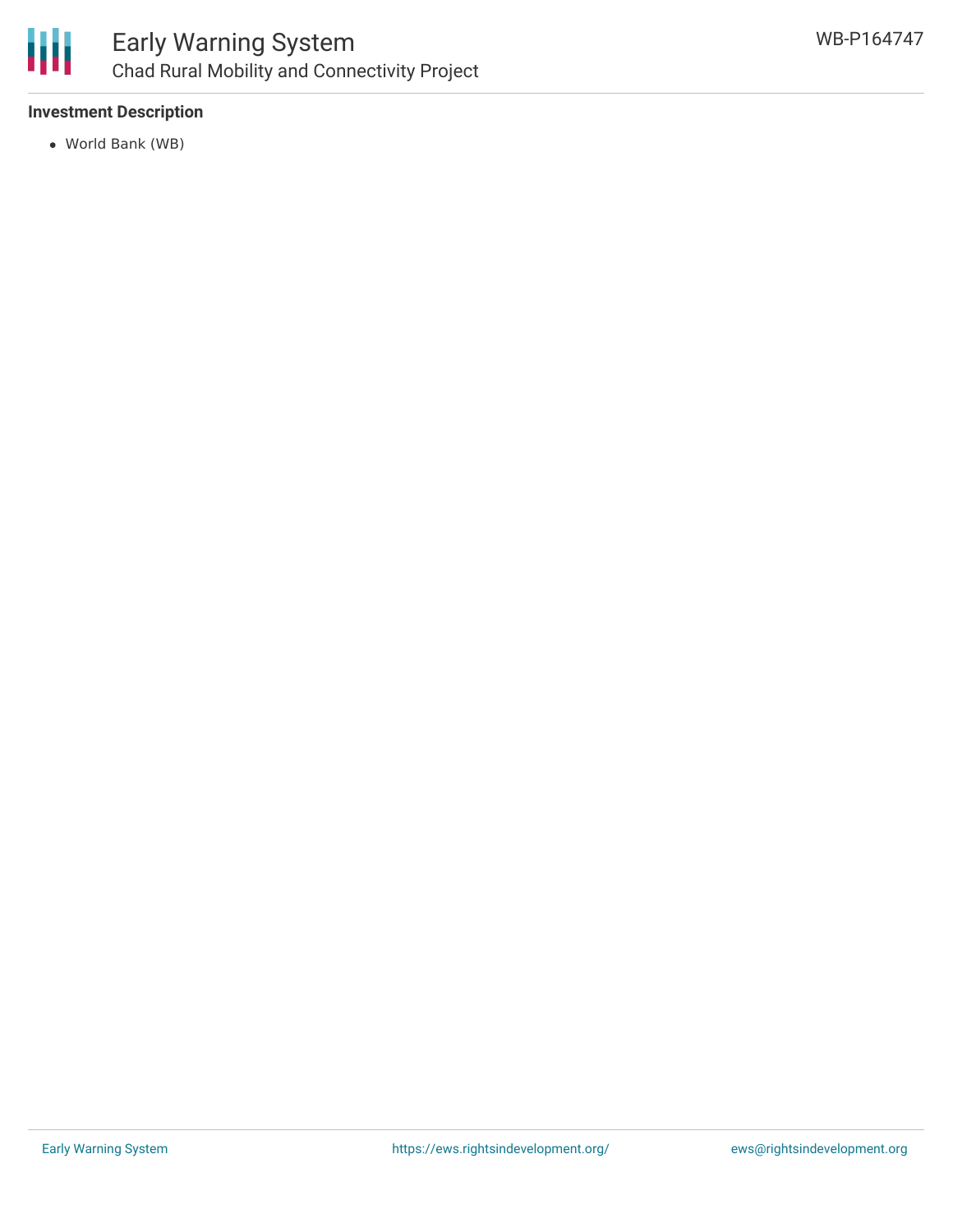

#### **Investment Description**

World Bank (WB)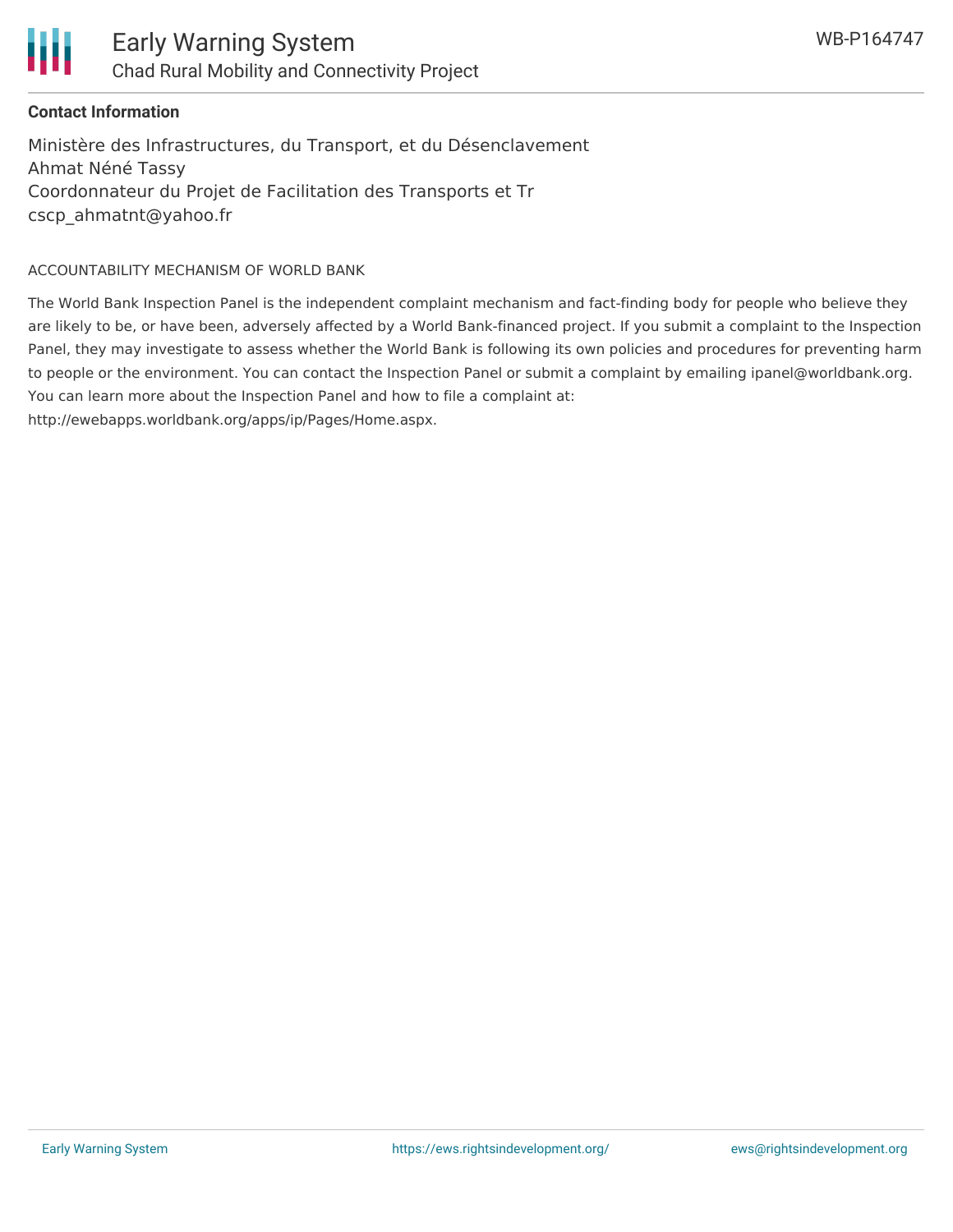



#### **Contact Information**

Ministère des Infrastructures, du Transport, et du Désenclavement Ahmat Néné Tassy Coordonnateur du Projet de Facilitation des Transports et Tr cscp\_ahmatnt@yahoo.fr

#### ACCOUNTABILITY MECHANISM OF WORLD BANK

The World Bank Inspection Panel is the independent complaint mechanism and fact-finding body for people who believe they are likely to be, or have been, adversely affected by a World Bank-financed project. If you submit a complaint to the Inspection Panel, they may investigate to assess whether the World Bank is following its own policies and procedures for preventing harm to people or the environment. You can contact the Inspection Panel or submit a complaint by emailing ipanel@worldbank.org. You can learn more about the Inspection Panel and how to file a complaint at:

http://ewebapps.worldbank.org/apps/ip/Pages/Home.aspx.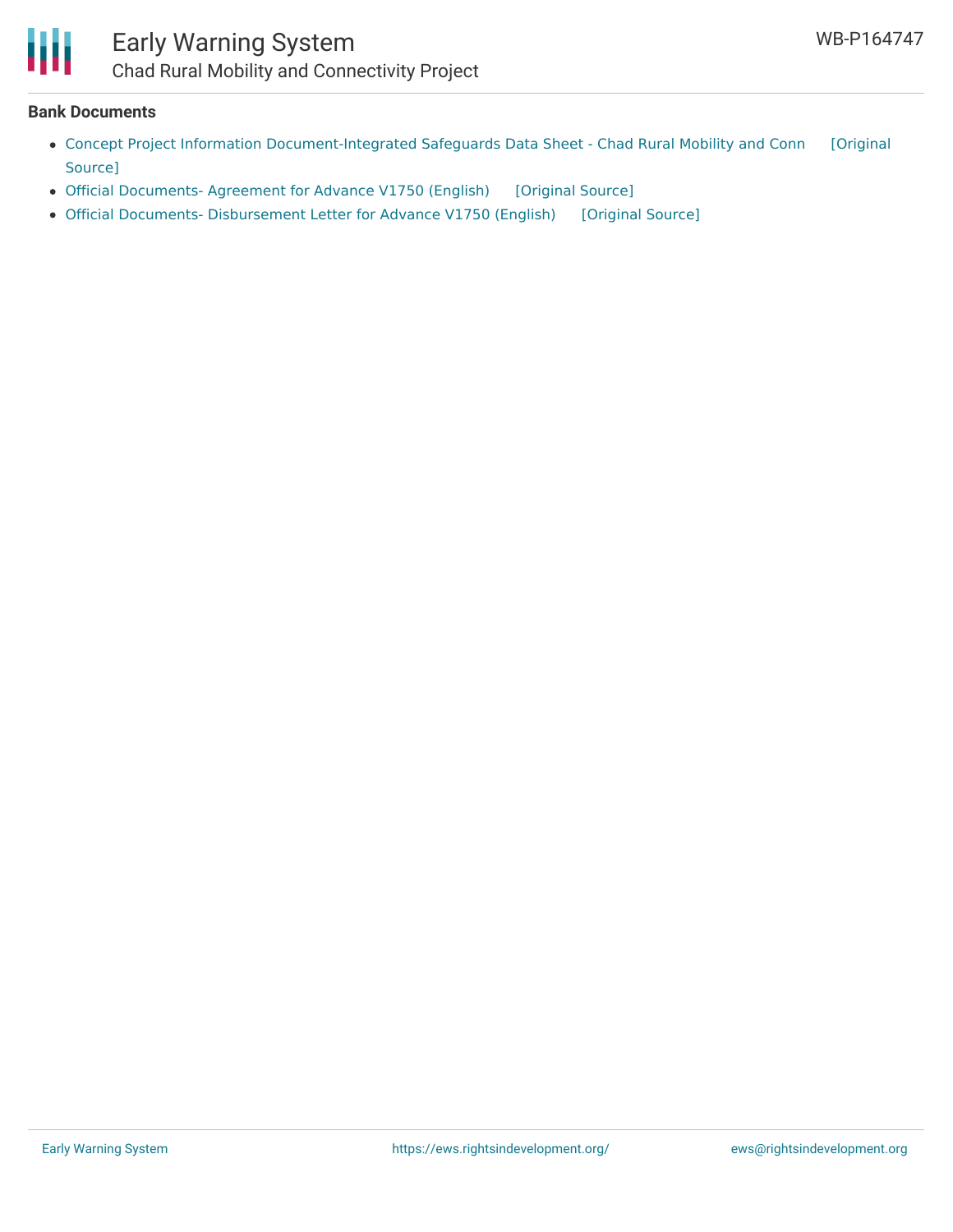

### Early Warning System Chad Rural Mobility and Connectivity Project

#### **Bank Documents**

- Concept Project Information [Document-Integrated](https://ewsdata.rightsindevelopment.org/files/documents/47/WB-P164747.pdf) Safeguards Data Sheet Chad Rural Mobility and Conn [Original Source]
- Official [Documents-](https://ewsdata.rightsindevelopment.org/files/documents/47/WB-P164747_vw9u58W.pdf) Agreement for Advance V1750 (English) [\[Original](http://documents.worldbank.org/curated/en/159301524765091406/pdf/ITK425962-201803261349.pdf) Source]
- Official Documents- [Disbursement](https://ewsdata.rightsindevelopment.org/files/documents/47/WB-P164747_eljwA4D.pdf) Letter for Advance V1750 (English) [\[Original](http://documents.worldbank.org/curated/en/130751524765216625/pdf/ITK425962-201803261352.pdf) Source]